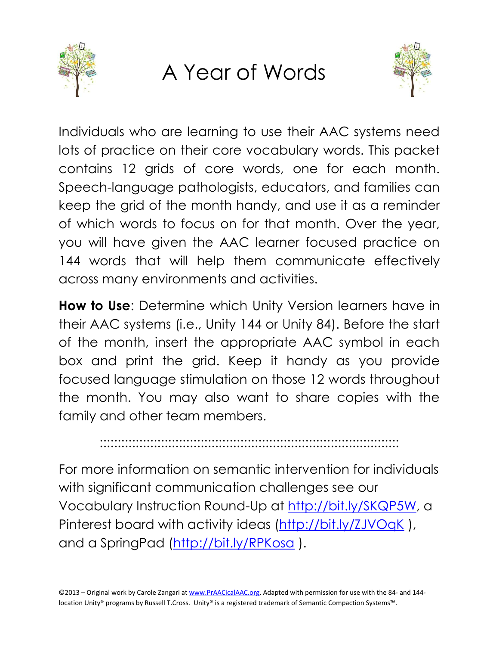

## A Year of Words



Individuals who are learning to use their AAC systems need lots of practice on their core vocabulary words. This packet contains 12 grids of core words, one for each month. Speech-language pathologists, educators, and families can keep the grid of the month handy, and use it as a reminder of which words to focus on for that month. Over the year, you will have given the AAC learner focused practice on 144 words that will help them communicate effectively across many environments and activities.

**How to Use**: Determine which Unity Version learners have in their AAC systems (i.e., Unity 144 or Unity 84). Before the start of the month, insert the appropriate AAC symbol in each box and print the grid. Keep it handy as you provide focused language stimulation on those 12 words throughout the month. You may also want to share copies with the family and other team members.

:::::::::::::::::::::::::::::::::::::::::::::::::::::::::::::::::::::::::::::::::::

For more information on semantic intervention for individuals with significant communication challenges see our Vocabulary Instruction Round-Up at [http://bit.ly/SKQP5W,](http://bit.ly/SKQP5W) a Pinterest board with activity ideas (http://bit.ly/ZJVOqK), and a SpringPad [\(http://bit.ly/RPKosa](http://bit.ly/RPKosa) ).